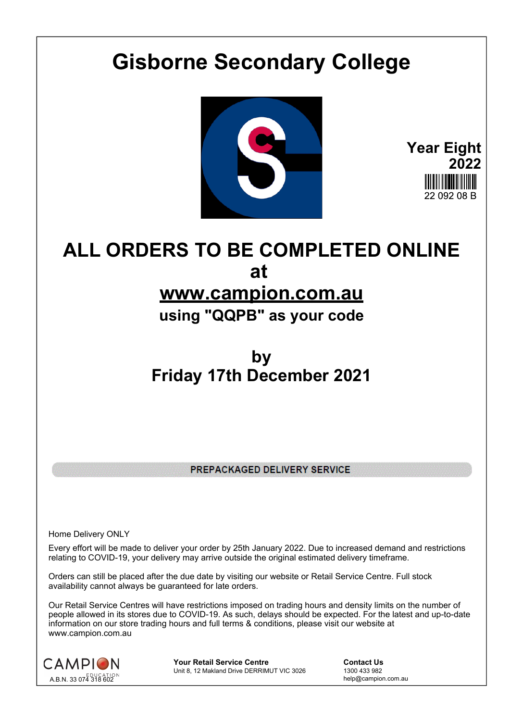## **Gisborne Secondary College**



**Year Eight 2022** 22 NQ2 NR R

## **ALL ORDERS TO BE COMPLETED ONLINE at www.campion.com.au**

**using "QQPB" as your code**

## **by Friday 17th December 2021**

PREPACKAGED DELIVERY SERVICE

Home Delivery ONLY

Every effort will be made to deliver your order by 25th January 2022. Due to increased demand and restrictions relating to COVID-19, your delivery may arrive outside the original estimated delivery timeframe.

Orders can still be placed after the due date by visiting our website or Retail Service Centre. Full stock availability cannot always be guaranteed for late orders.

Our Retail Service Centres will have restrictions imposed on trading hours and density limits on the number of people allowed in its stores due to COVID-19. As such, delays should be expected. For the latest and up-to-date information on our store trading hours and full terms & conditions, please visit our website at www.campion.com.au



**Your Retail Service Centre Contact Us**<br>
Unit 8, 12 Makland Drive DERRIMUT VIC 3026
1300 433 982 Unit 8, 12 Makland Drive DERRIMUT VIC 3026

help@campion.com.au